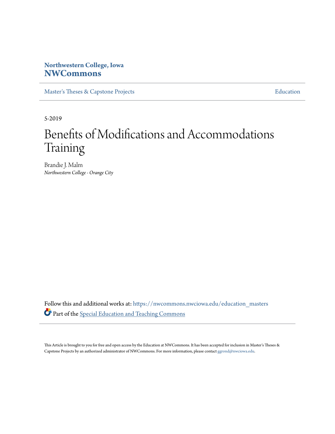# **Northwestern College, Iowa [NWCommons](https://nwcommons.nwciowa.edu?utm_source=nwcommons.nwciowa.edu%2Feducation_masters%2F137&utm_medium=PDF&utm_campaign=PDFCoverPages)**

[Master's Theses & Capstone Projects](https://nwcommons.nwciowa.edu/education_masters?utm_source=nwcommons.nwciowa.edu%2Feducation_masters%2F137&utm_medium=PDF&utm_campaign=PDFCoverPages) **[Education](https://nwcommons.nwciowa.edu/education?utm_source=nwcommons.nwciowa.edu%2Feducation_masters%2F137&utm_medium=PDF&utm_campaign=PDFCoverPages)** 

5-2019

# Benefits of Modifications and Accommodations Training

Brandie J. Malm *Northwestern College - Orange City*

Follow this and additional works at: [https://nwcommons.nwciowa.edu/education\\_masters](https://nwcommons.nwciowa.edu/education_masters?utm_source=nwcommons.nwciowa.edu%2Feducation_masters%2F137&utm_medium=PDF&utm_campaign=PDFCoverPages) Part of the [Special Education and Teaching Commons](http://network.bepress.com/hgg/discipline/801?utm_source=nwcommons.nwciowa.edu%2Feducation_masters%2F137&utm_medium=PDF&utm_campaign=PDFCoverPages)

This Article is brought to you for free and open access by the Education at NWCommons. It has been accepted for inclusion in Master's Theses & Capstone Projects by an authorized administrator of NWCommons. For more information, please contact [ggrond@nwciowa.edu.](mailto:ggrond@nwciowa.edu)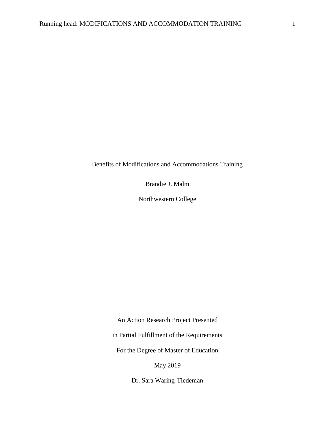Benefits of Modifications and Accommodations Training

Brandie J. Malm

Northwestern College

An Action Research Project Presented

in Partial Fulfillment of the Requirements

For the Degree of Master of Education

May 2019

Dr. Sara Waring-Tiedeman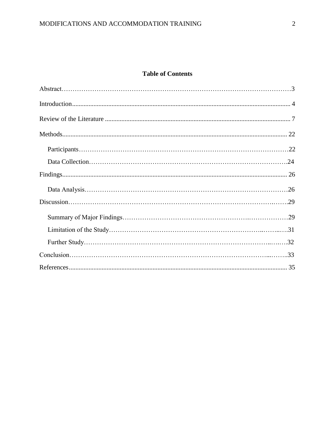# **Table of Contents**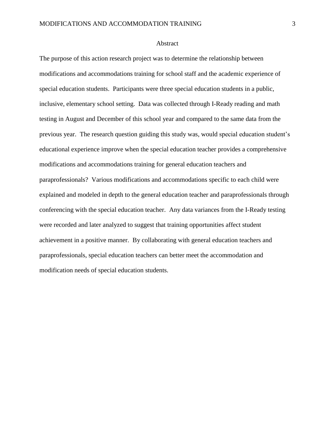#### Abstract

The purpose of this action research project was to determine the relationship between modifications and accommodations training for school staff and the academic experience of special education students. Participants were three special education students in a public, inclusive, elementary school setting. Data was collected through I-Ready reading and math testing in August and December of this school year and compared to the same data from the previous year. The research question guiding this study was, would special education student's educational experience improve when the special education teacher provides a comprehensive modifications and accommodations training for general education teachers and paraprofessionals? Various modifications and accommodations specific to each child were explained and modeled in depth to the general education teacher and paraprofessionals through conferencing with the special education teacher. Any data variances from the I-Ready testing were recorded and later analyzed to suggest that training opportunities affect student achievement in a positive manner. By collaborating with general education teachers and paraprofessionals, special education teachers can better meet the accommodation and modification needs of special education students.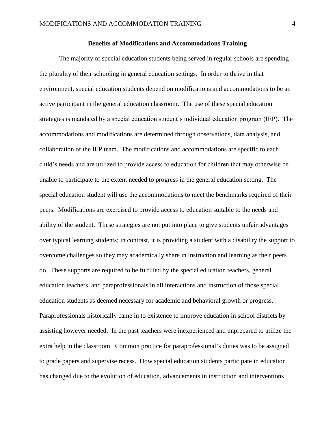#### **Benefits of Modifications and Accommodations Training**

The majority of special education students being served in regular schools are spending the plurality of their schooling in general education settings. In order to thrive in that environment, special education students depend on modifications and accommodations to be an active participant in the general education classroom. The use of these special education strategies is mandated by a special education student's individual education program (IEP). The accommodations and modifications are determined through observations, data analysis, and collaboration of the IEP team. The modifications and accommodations are specific to each child's needs and are utilized to provide access to education for children that may otherwise be unable to participate to the extent needed to progress in the general education setting. The special education student will use the accommodations to meet the benchmarks required of their peers. Modifications are exercised to provide access to education suitable to the needs and ability of the student. These strategies are not put into place to give students unfair advantages over typical learning students; in contrast, it is providing a student with a disability the support to overcome challenges so they may academically share in instruction and learning as their peers do. These supports are required to be fulfilled by the special education teachers, general education teachers, and paraprofessionals in all interactions and instruction of those special education students as deemed necessary for academic and behavioral growth or progress. Paraprofessionals historically came in to existence to improve education in school districts by assisting however needed. In the past teachers were inexperienced and unprepared to utilize the extra help in the classroom. Common practice for paraprofessional's duties was to be assigned to grade papers and supervise recess. How special education students participate in education has changed due to the evolution of education, advancements in instruction and interventions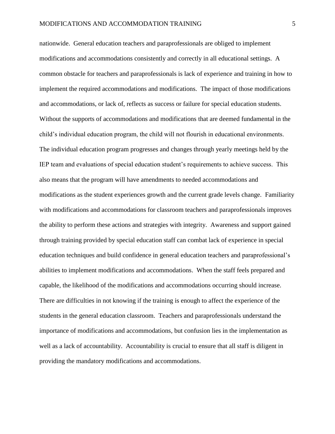nationwide. General education teachers and paraprofessionals are obliged to implement modifications and accommodations consistently and correctly in all educational settings. A common obstacle for teachers and paraprofessionals is lack of experience and training in how to implement the required accommodations and modifications. The impact of those modifications and accommodations, or lack of, reflects as success or failure for special education students. Without the supports of accommodations and modifications that are deemed fundamental in the child's individual education program, the child will not flourish in educational environments. The individual education program progresses and changes through yearly meetings held by the IEP team and evaluations of special education student's requirements to achieve success. This also means that the program will have amendments to needed accommodations and modifications as the student experiences growth and the current grade levels change. Familiarity with modifications and accommodations for classroom teachers and paraprofessionals improves the ability to perform these actions and strategies with integrity. Awareness and support gained through training provided by special education staff can combat lack of experience in special education techniques and build confidence in general education teachers and paraprofessional's abilities to implement modifications and accommodations. When the staff feels prepared and capable, the likelihood of the modifications and accommodations occurring should increase. There are difficulties in not knowing if the training is enough to affect the experience of the students in the general education classroom. Teachers and paraprofessionals understand the importance of modifications and accommodations, but confusion lies in the implementation as well as a lack of accountability. Accountability is crucial to ensure that all staff is diligent in providing the mandatory modifications and accommodations.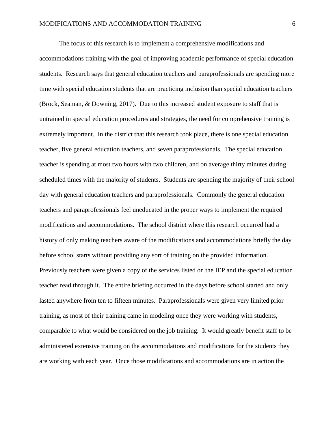The focus of this research is to implement a comprehensive modifications and accommodations training with the goal of improving academic performance of special education students. Research says that general education teachers and paraprofessionals are spending more time with special education students that are practicing inclusion than special education teachers (Brock, Seaman, & Downing, 2017). Due to this increased student exposure to staff that is untrained in special education procedures and strategies, the need for comprehensive training is extremely important. In the district that this research took place, there is one special education teacher, five general education teachers, and seven paraprofessionals. The special education teacher is spending at most two hours with two children, and on average thirty minutes during scheduled times with the majority of students. Students are spending the majority of their school day with general education teachers and paraprofessionals. Commonly the general education teachers and paraprofessionals feel uneducated in the proper ways to implement the required modifications and accommodations. The school district where this research occurred had a history of only making teachers aware of the modifications and accommodations briefly the day before school starts without providing any sort of training on the provided information. Previously teachers were given a copy of the services listed on the IEP and the special education teacher read through it. The entire briefing occurred in the days before school started and only lasted anywhere from ten to fifteen minutes. Paraprofessionals were given very limited prior training, as most of their training came in modeling once they were working with students, comparable to what would be considered on the job training. It would greatly benefit staff to be administered extensive training on the accommodations and modifications for the students they are working with each year. Once those modifications and accommodations are in action the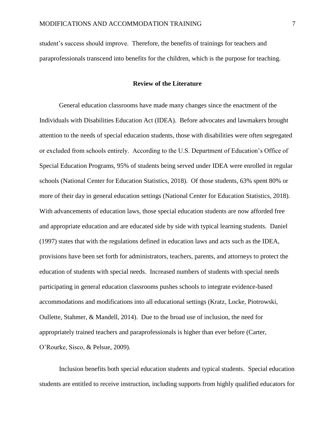student's success should improve. Therefore, the benefits of trainings for teachers and paraprofessionals transcend into benefits for the children, which is the purpose for teaching.

# **Review of the Literature**

<span id="page-7-0"></span>General education classrooms have made many changes since the enactment of the Individuals with Disabilities Education Act (IDEA). Before advocates and lawmakers brought attention to the needs of special education students, those with disabilities were often segregated or excluded from schools entirely. According to the U.S. Department of Education's Office of Special Education Programs, 95% of students being served under IDEA were enrolled in regular schools (National Center for Education Statistics, 2018). Of those students, 63% spent 80% or more of their day in general education settings (National Center for Education Statistics, 2018). With advancements of education laws, those special education students are now afforded free and appropriate education and are educated side by side with typical learning students. Daniel (1997) states that with the regulations defined in education laws and acts such as the IDEA, provisions have been set forth for administrators, teachers, parents, and attorneys to protect the education of students with special needs. Increased numbers of students with special needs participating in general education classrooms pushes schools to integrate evidence-based accommodations and modifications into all educational settings (Kratz, Locke, Piotrowski, Oullette, Stahmer, & Mandell, 2014). Due to the broad use of inclusion, the need for appropriately trained teachers and paraprofessionals is higher than ever before (Carter, O'Rourke, Sisco, & Pelsue, 2009).

Inclusion benefits both special education students and typical students. Special education students are entitled to receive instruction, including supports from highly qualified educators for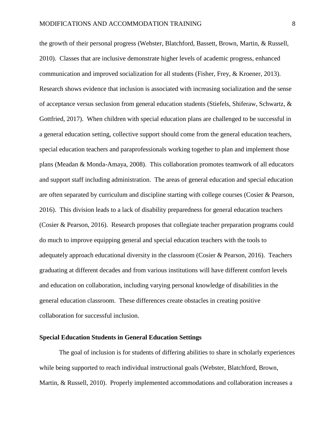the growth of their personal progress (Webster, Blatchford, Bassett, Brown, Martin, & Russell, 2010). Classes that are inclusive demonstrate higher levels of academic progress, enhanced communication and improved socialization for all students (Fisher, Frey, & Kroener, 2013). Research shows evidence that inclusion is associated with increasing socialization and the sense of acceptance versus seclusion from general education students (Stiefels, Shiferaw, Schwartz, & Gottfried, 2017). When children with special education plans are challenged to be successful in a general education setting, collective support should come from the general education teachers, special education teachers and paraprofessionals working together to plan and implement those plans (Meadan & Monda-Amaya, 2008). This collaboration promotes teamwork of all educators and support staff including administration. The areas of general education and special education are often separated by curriculum and discipline starting with college courses (Cosier & Pearson, 2016). This division leads to a lack of disability preparedness for general education teachers (Cosier & Pearson, 2016). Research proposes that collegiate teacher preparation programs could do much to improve equipping general and special education teachers with the tools to adequately approach educational diversity in the classroom (Cosier & Pearson, 2016). Teachers graduating at different decades and from various institutions will have different comfort levels and education on collaboration, including varying personal knowledge of disabilities in the general education classroom. These differences create obstacles in creating positive collaboration for successful inclusion.

## **Special Education Students in General Education Settings**

The goal of inclusion is for students of differing abilities to share in scholarly experiences while being supported to reach individual instructional goals (Webster, Blatchford, Brown, Martin, & Russell, 2010). Properly implemented accommodations and collaboration increases a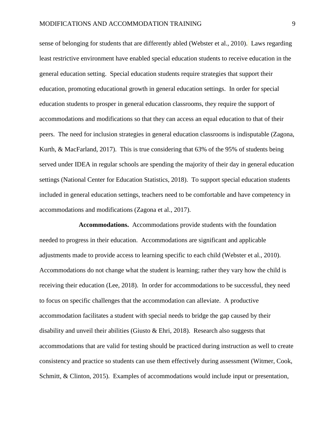sense of belonging for students that are differently abled (Webster et al., 2010). Laws regarding least restrictive environment have enabled special education students to receive education in the general education setting. Special education students require strategies that support their education, promoting educational growth in general education settings. In order for special education students to prosper in general education classrooms, they require the support of accommodations and modifications so that they can access an equal education to that of their peers. The need for inclusion strategies in general education classrooms is indisputable (Zagona, Kurth, & MacFarland, 2017). This is true considering that 63% of the 95% of students being served under IDEA in regular schools are spending the majority of their day in general education settings (National Center for Education Statistics, 2018). To support special education students included in general education settings, teachers need to be comfortable and have competency in accommodations and modifications (Zagona et al., 2017).

**Accommodations.** Accommodations provide students with the foundation needed to progress in their education. Accommodations are significant and applicable adjustments made to provide access to learning specific to each child (Webster et al., 2010). Accommodations do not change what the student is learning; rather they vary how the child is receiving their education (Lee, 2018). In order for accommodations to be successful, they need to focus on specific challenges that the accommodation can alleviate. A productive accommodation facilitates a student with special needs to bridge the gap caused by their disability and unveil their abilities (Giusto & Ehri, 2018). Research also suggests that accommodations that are valid for testing should be practiced during instruction as well to create consistency and practice so students can use them effectively during assessment (Witmer, Cook, Schmitt, & Clinton, 2015). Examples of accommodations would include input or presentation,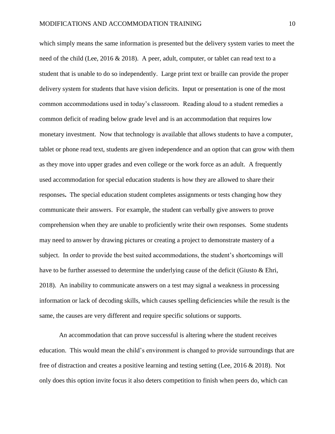which simply means the same information is presented but the delivery system varies to meet the need of the child (Lee, 2016 & 2018). A peer, adult, computer, or tablet can read text to a student that is unable to do so independently. Large print text or braille can provide the proper delivery system for students that have vision deficits. Input or presentation is one of the most common accommodations used in today's classroom. Reading aloud to a student remedies a common deficit of reading below grade level and is an accommodation that requires low monetary investment. Now that technology is available that allows students to have a computer, tablet or phone read text, students are given independence and an option that can grow with them as they move into upper grades and even college or the work force as an adult. A frequently used accommodation for special education students is how they are allowed to share their responses**.** The special education student completes assignments or tests changing how they communicate their answers. For example, the student can verbally give answers to prove comprehension when they are unable to proficiently write their own responses. Some students may need to answer by drawing pictures or creating a project to demonstrate mastery of a subject. In order to provide the best suited accommodations, the student's shortcomings will have to be further assessed to determine the underlying cause of the deficit (Giusto & Ehri, 2018). An inability to communicate answers on a test may signal a weakness in processing information or lack of decoding skills, which causes spelling deficiencies while the result is the same, the causes are very different and require specific solutions or supports.

An accommodation that can prove successful is altering where the student receives education. This would mean the child's environment is changed to provide surroundings that are free of distraction and creates a positive learning and testing setting (Lee, 2016 & 2018). Not only does this option invite focus it also deters competition to finish when peers do, which can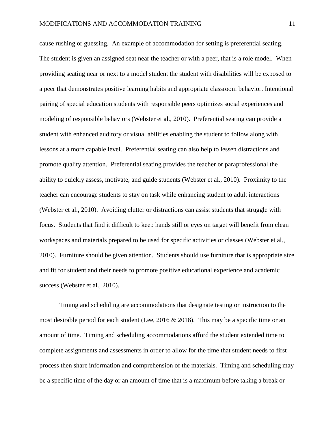cause rushing or guessing. An example of accommodation for setting is preferential seating. The student is given an assigned seat near the teacher or with a peer, that is a role model. When providing seating near or next to a model student the student with disabilities will be exposed to a peer that demonstrates positive learning habits and appropriate classroom behavior. Intentional pairing of special education students with responsible peers optimizes social experiences and modeling of responsible behaviors (Webster et al., 2010). Preferential seating can provide a student with enhanced auditory or visual abilities enabling the student to follow along with lessons at a more capable level. Preferential seating can also help to lessen distractions and promote quality attention. Preferential seating provides the teacher or paraprofessional the ability to quickly assess, motivate, and guide students (Webster et al., 2010). Proximity to the teacher can encourage students to stay on task while enhancing student to adult interactions (Webster et al., 2010). Avoiding clutter or distractions can assist students that struggle with focus. Students that find it difficult to keep hands still or eyes on target will benefit from clean workspaces and materials prepared to be used for specific activities or classes (Webster et al., 2010). Furniture should be given attention. Students should use furniture that is appropriate size and fit for student and their needs to promote positive educational experience and academic success (Webster et al., 2010).

Timing and scheduling are accommodations that designate testing or instruction to the most desirable period for each student (Lee,  $2016 \& 2018$ ). This may be a specific time or an amount of time. Timing and scheduling accommodations afford the student extended time to complete assignments and assessments in order to allow for the time that student needs to first process then share information and comprehension of the materials. Timing and scheduling may be a specific time of the day or an amount of time that is a maximum before taking a break or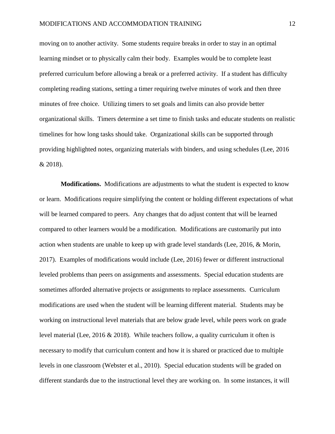moving on to another activity. Some students require breaks in order to stay in an optimal learning mindset or to physically calm their body. Examples would be to complete least preferred curriculum before allowing a break or a preferred activity. If a student has difficulty completing reading stations, setting a timer requiring twelve minutes of work and then three minutes of free choice. Utilizing timers to set goals and limits can also provide better organizational skills. Timers determine a set time to finish tasks and educate students on realistic timelines for how long tasks should take. Organizational skills can be supported through providing highlighted notes, organizing materials with binders, and using schedules (Lee, 2016 & 2018).

**Modifications.** Modifications are adjustments to what the student is expected to know or learn. Modifications require simplifying the content or holding different expectations of what will be learned compared to peers. Any changes that do adjust content that will be learned compared to other learners would be a modification. Modifications are customarily put into action when students are unable to keep up with grade level standards (Lee, 2016, & Morin, 2017). Examples of modifications would include (Lee, 2016) fewer or different instructional leveled problems than peers on assignments and assessments. Special education students are sometimes afforded alternative projects or assignments to replace assessments. Curriculum modifications are used when the student will be learning different material. Students may be working on instructional level materials that are below grade level, while peers work on grade level material (Lee, 2016 & 2018). While teachers follow, a quality curriculum it often is necessary to modify that curriculum content and how it is shared or practiced due to multiple levels in one classroom (Webster et al., 2010). Special education students will be graded on different standards due to the instructional level they are working on. In some instances, it will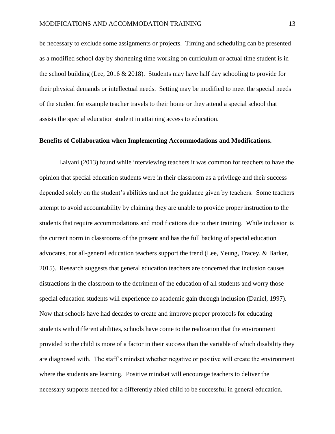be necessary to exclude some assignments or projects. Timing and scheduling can be presented as a modified school day by shortening time working on curriculum or actual time student is in the school building (Lee, 2016 & 2018). Students may have half day schooling to provide for their physical demands or intellectual needs. Setting may be modified to meet the special needs of the student for example teacher travels to their home or they attend a special school that assists the special education student in attaining access to education.

#### **Benefits of Collaboration when Implementing Accommodations and Modifications.**

Lalvani (2013) found while interviewing teachers it was common for teachers to have the opinion that special education students were in their classroom as a privilege and their success depended solely on the student's abilities and not the guidance given by teachers. Some teachers attempt to avoid accountability by claiming they are unable to provide proper instruction to the students that require accommodations and modifications due to their training. While inclusion is the current norm in classrooms of the present and has the full backing of special education advocates, not all-general education teachers support the trend (Lee, Yeung, Tracey, & Barker, 2015). Research suggests that general education teachers are concerned that inclusion causes distractions in the classroom to the detriment of the education of all students and worry those special education students will experience no academic gain through inclusion (Daniel, 1997). Now that schools have had decades to create and improve proper protocols for educating students with different abilities, schools have come to the realization that the environment provided to the child is more of a factor in their success than the variable of which disability they are diagnosed with. The staff's mindset whether negative or positive will create the environment where the students are learning. Positive mindset will encourage teachers to deliver the necessary supports needed for a differently abled child to be successful in general education.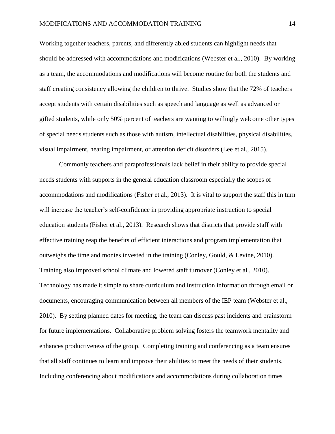Working together teachers, parents, and differently abled students can highlight needs that should be addressed with accommodations and modifications (Webster et al., 2010).By working as a team, the accommodations and modifications will become routine for both the students and staff creating consistency allowing the children to thrive.Studies show that the 72% of teachers accept students with certain disabilities such as speech and language as well as advanced or gifted students, while only 50% percent of teachers are wanting to willingly welcome other types of special needs students such as those with autism, intellectual disabilities, physical disabilities, visual impairment, hearing impairment, or attention deficit disorders (Lee et al., 2015).

Commonly teachers and paraprofessionals lack belief in their ability to provide special needs students with supports in the general education classroom especially the scopes of accommodations and modifications (Fisher et al., 2013).It is vital to support the staff this in turn will increase the teacher's self-confidence in providing appropriate instruction to special education students (Fisher et al., 2013). Research shows that districts that provide staff with effective training reap the benefits of efficient interactions and program implementation that outweighs the time and monies invested in the training (Conley, Gould,  $&$  Levine, 2010). Training also improved school climate and lowered staff turnover (Conley et al., 2010). Technology has made it simple to share curriculum and instruction information through email or documents, encouraging communication between all members of the IEP team (Webster et al., 2010). By setting planned dates for meeting, the team can discuss past incidents and brainstorm for future implementations. Collaborative problem solving fosters the teamwork mentality and enhances productiveness of the group. Completing training and conferencing as a team ensures that all staff continues to learn and improve their abilities to meet the needs of their students. Including conferencing about modifications and accommodations during collaboration times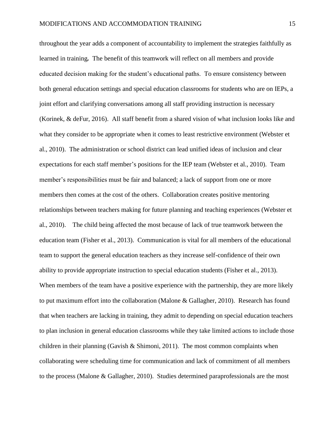throughout the year adds a component of accountability to implement the strategies faithfully as learned in training*.* The benefit of this teamwork will reflect on all members and provide educated decision making for the student's educational paths. To ensure consistency between both general education settings and special education classrooms for students who are on IEPs, a joint effort and clarifying conversations among all staff providing instruction is necessary (Korinek, & deFur, 2016). All staff benefit from a shared vision of what inclusion looks like and what they consider to be appropriate when it comes to least restrictive environment (Webster et al., 2010). The administration or school district can lead unified ideas of inclusion and clear expectations for each staff member's positions for the IEP team (Webster et al., 2010). Team member's responsibilities must be fair and balanced; a lack of support from one or more members then comes at the cost of the others. Collaboration creates positive mentoring relationships between teachers making for future planning and teaching experiences (Webster et al., 2010).The child being affected the most because of lack of true teamwork between the education team (Fisher et al., 2013). Communication is vital for all members of the educational team to support the general education teachers as they increase self-confidence of their own ability to provide appropriate instruction to special education students (Fisher et al., 2013). When members of the team have a positive experience with the partnership, they are more likely to put maximum effort into the collaboration (Malone & Gallagher, 2010). Research has found that when teachers are lacking in training, they admit to depending on special education teachers to plan inclusion in general education classrooms while they take limited actions to include those children in their planning (Gavish & Shimoni, 2011). The most common complaints when collaborating were scheduling time for communication and lack of commitment of all members to the process (Malone & Gallagher, 2010). Studies determined paraprofessionals are the most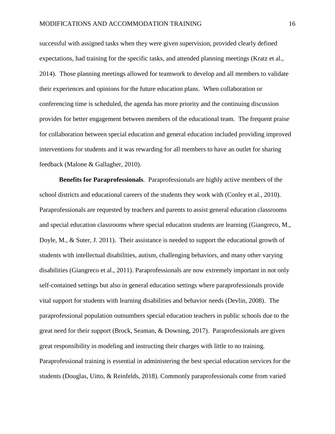successful with assigned tasks when they were given supervision, provided clearly defined expectations, had training for the specific tasks, and attended planning meetings (Kratz et al., 2014). Those planning meetings allowed for teamwork to develop and all members to validate their experiences and opinions for the future education plans. When collaboration or conferencing time is scheduled, the agenda has more priority and the continuing discussion provides for better engagement between members of the educational team. The frequent praise for collaboration between special education and general education included providing improved interventions for students and it was rewarding for all members to have an outlet for sharing feedback (Malone & Gallagher, 2010).

**Benefits for Paraprofessionals**. Paraprofessionals are highly active members of the school districts and educational careers of the students they work with (Conley et al., 2010). Paraprofessionals are requested by teachers and parents to assist general education classrooms and special education classrooms where special education students are learning (Giangreco, M., Doyle, M., & Suter, J. 2011). Their assistance is needed to support the educational growth of students with intellectual disabilities, autism, challenging behaviors, and many other varying disabilities (Giangreco et al., 2011). Paraprofessionals are now extremely important in not only self-contained settings but also in general education settings where paraprofessionals provide vital support for students with learning disabilities and behavior needs (Devlin, 2008). The paraprofessional population outnumbers special education teachers in public schools due to the great need for their support (Brock, Seaman, & Downing, 2017). Paraprofessionals are given great responsibility in modeling and instructing their charges with little to no training. Paraprofessional training is essential in administering the best special education services for the students (Douglas, Uitto, & Reinfelds, 2018). Commonly paraprofessionals come from varied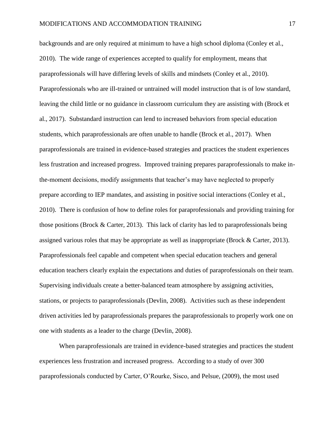backgrounds and are only required at minimum to have a high school diploma (Conley et al., 2010). The wide range of experiences accepted to qualify for employment, means that paraprofessionals will have differing levels of skills and mindsets (Conley et al., 2010). Paraprofessionals who are ill-trained or untrained will model instruction that is of low standard, leaving the child little or no guidance in classroom curriculum they are assisting with (Brock et al., 2017). Substandard instruction can lend to increased behaviors from special education students, which paraprofessionals are often unable to handle (Brock et al., 2017). When paraprofessionals are trained in evidence-based strategies and practices the student experiences less frustration and increased progress. Improved training prepares paraprofessionals to make inthe-moment decisions, modify assignments that teacher's may have neglected to properly prepare according to IEP mandates, and assisting in positive social interactions (Conley et al., 2010). There is confusion of how to define roles for paraprofessionals and providing training for those positions (Brock  $&$  Carter, 2013). This lack of clarity has led to paraprofessionals being assigned various roles that may be appropriate as well as inappropriate (Brock & Carter, 2013). Paraprofessionals feel capable and competent when special education teachers and general education teachers clearly explain the expectations and duties of paraprofessionals on their team. Supervising individuals create a better-balanced team atmosphere by assigning activities, stations, or projects to paraprofessionals (Devlin, 2008). Activities such as these independent driven activities led by paraprofessionals prepares the paraprofessionals to properly work one on one with students as a leader to the charge (Devlin, 2008).

When paraprofessionals are trained in evidence-based strategies and practices the student experiences less frustration and increased progress. According to a study of over 300 paraprofessionals conducted by Carter, O'Rourke, Sisco, and Pelsue, (2009), the most used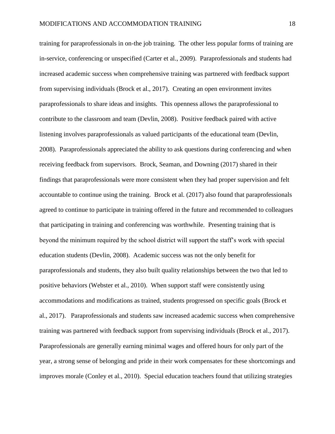training for paraprofessionals in on-the job training. The other less popular forms of training are in-service, conferencing or unspecified (Carter et al., 2009). Paraprofessionals and students had increased academic success when comprehensive training was partnered with feedback support from supervising individuals (Brock et al., 2017). Creating an open environment invites paraprofessionals to share ideas and insights. This openness allows the paraprofessional to contribute to the classroom and team (Devlin, 2008). Positive feedback paired with active listening involves paraprofessionals as valued participants of the educational team (Devlin, 2008). Paraprofessionals appreciated the ability to ask questions during conferencing and when receiving feedback from supervisors. Brock, Seaman, and Downing (2017) shared in their findings that paraprofessionals were more consistent when they had proper supervision and felt accountable to continue using the training. Brock et al. (2017) also found that paraprofessionals agreed to continue to participate in training offered in the future and recommended to colleagues that participating in training and conferencing was worthwhile. Presenting training that is beyond the minimum required by the school district will support the staff's work with special education students (Devlin, 2008). Academic success was not the only benefit for paraprofessionals and students, they also built quality relationships between the two that led to positive behaviors (Webster et al., 2010). When support staff were consistently using accommodations and modifications as trained, students progressed on specific goals (Brock et al., 2017). Paraprofessionals and students saw increased academic success when comprehensive training was partnered with feedback support from supervising individuals (Brock et al., 2017). Paraprofessionals are generally earning minimal wages and offered hours for only part of the year, a strong sense of belonging and pride in their work compensates for these shortcomings and improves morale (Conley et al., 2010). Special education teachers found that utilizing strategies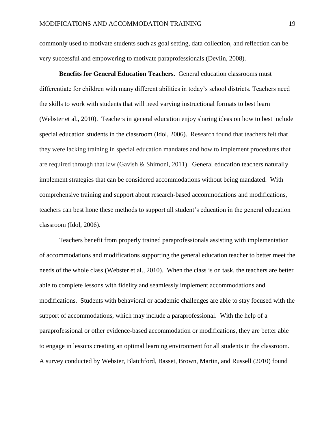commonly used to motivate students such as goal setting, data collection, and reflection can be very successful and empowering to motivate paraprofessionals (Devlin, 2008).

**Benefits for General Education Teachers.** General education classrooms must differentiate for children with many different abilities in today's school districts. Teachers need the skills to work with students that will need varying instructional formats to best learn (Webster et al., 2010). Teachers in general education enjoy sharing ideas on how to best include special education students in the classroom (Idol, 2006). Research found that teachers felt that they were lacking training in special education mandates and how to implement procedures that are required through that law (Gavish & Shimoni, 2011). General education teachers naturally implement strategies that can be considered accommodations without being mandated. With comprehensive training and support about research-based accommodations and modifications, teachers can best hone these methods to support all student's education in the general education classroom (Idol, 2006).

Teachers benefit from properly trained paraprofessionals assisting with implementation of accommodations and modifications supporting the general education teacher to better meet the needs of the whole class (Webster et al., 2010). When the class is on task, the teachers are better able to complete lessons with fidelity and seamlessly implement accommodations and modifications. Students with behavioral or academic challenges are able to stay focused with the support of accommodations, which may include a paraprofessional. With the help of a paraprofessional or other evidence-based accommodation or modifications, they are better able to engage in lessons creating an optimal learning environment for all students in the classroom. A survey conducted by Webster, Blatchford, Basset, Brown, Martin, and Russell (2010) found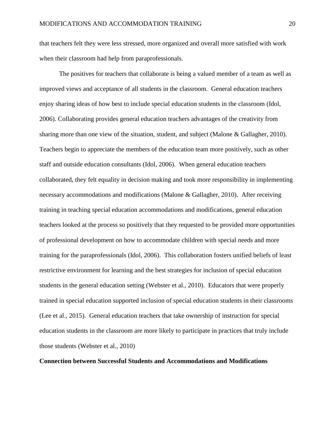that teachers felt they were less stressed, more organized and overall more satisfied with work when their classroom had help from paraprofessionals.

The positives for teachers that collaborate is being a valued member of a team as well as improved views and acceptance of all students in the classroom. General education teachers enjoy sharing ideas of how best to include special education students in the classroom (Idol, 2006). Collaborating provides general education teachers advantages of the creativity from sharing more than one view of the situation, student, and subject (Malone & Gallagher, 2010). Teachers begin to appreciate the members of the education team more positively, such as other staff and outside education consultants (Idol, 2006). When general education teachers collaborated, they felt equality in decision making and took more responsibility in implementing necessary accommodations and modifications (Malone & Gallagher, 2010). After receiving training in teaching special education accommodations and modifications, general education teachers looked at the process so positively that they requested to be provided more opportunities of professional development on how to accommodate children with special needs and more training for the paraprofessionals (Idol, 2006). This collaboration fosters unified beliefs of least restrictive environment for learning and the best strategies for inclusion of special education students in the general education setting (Webster et al., 2010). Educators that were properly trained in special education supported inclusion of special education students in their classrooms (Lee et al., 2015). General education teachers that take ownership of instruction for special education students in the classroom are more likely to participate in practices that truly include those students (Webster et al., 2010)

# **Connection between Successful Students and Accommodations and Modifications**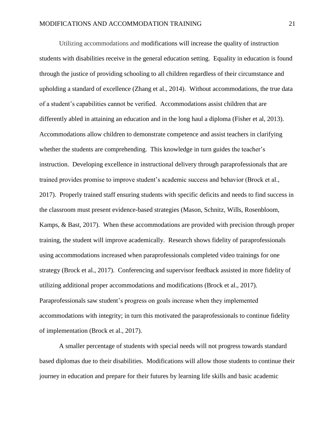Utilizing accommodations and modifications will increase the quality of instruction students with disabilities receive in the general education setting. Equality in education is found through the justice of providing schooling to all children regardless of their circumstance and upholding a standard of excellence (Zhang et al., 2014). Without accommodations, the true data of a student's capabilities cannot be verified. Accommodations assist children that are differently abled in attaining an education and in the long haul a diploma (Fisher et al, 2013). Accommodations allow children to demonstrate competence and assist teachers in clarifying whether the students are comprehending. This knowledge in turn guides the teacher's instruction. Developing excellence in instructional delivery through paraprofessionals that are trained provides promise to improve student's academic success and behavior (Brock et al., 2017). Properly trained staff ensuring students with specific deficits and needs to find success in the classroom must present evidence-based strategies (Mason, Schnitz, Wills, Rosenbloom, Kamps, & Bast, 2017). When these accommodations are provided with precision through proper training, the student will improve academically. Research shows fidelity of paraprofessionals using accommodations increased when paraprofessionals completed video trainings for one strategy (Brock et al., 2017). Conferencing and supervisor feedback assisted in more fidelity of utilizing additional proper accommodations and modifications (Brock et al., 2017). Paraprofessionals saw student's progress on goals increase when they implemented accommodations with integrity; in turn this motivated the paraprofessionals to continue fidelity of implementation (Brock et al., 2017).

A smaller percentage of students with special needs will not progress towards standard based diplomas due to their disabilities. Modifications will allow those students to continue their journey in education and prepare for their futures by learning life skills and basic academic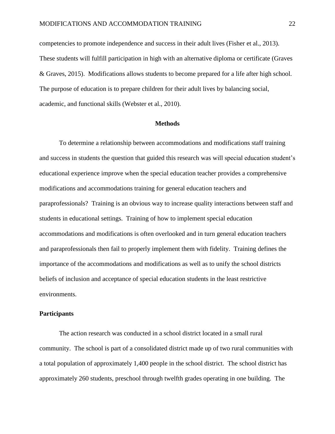competencies to promote independence and success in their adult lives (Fisher et al., 2013). These students will fulfill participation in high with an alternative diploma or certificate (Graves & Graves, 2015). Modifications allows students to become prepared for a life after high school. The purpose of education is to prepare children for their adult lives by balancing social, academic, and functional skills (Webster et al., 2010).

# **Methods**

To determine a relationship between accommodations and modifications staff training and success in students the question that guided this research was will special education student's educational experience improve when the special education teacher provides a comprehensive modifications and accommodations training for general education teachers and paraprofessionals? Training is an obvious way to increase quality interactions between staff and students in educational settings. Training of how to implement special education accommodations and modifications is often overlooked and in turn general education teachers and paraprofessionals then fail to properly implement them with fidelity. Training defines the importance of the accommodations and modifications as well as to unify the school districts beliefs of inclusion and acceptance of special education students in the least restrictive environments.

#### **Participants**

The action research was conducted in a school district located in a small rural community. The school is part of a consolidated district made up of two rural communities with a total population of approximately 1,400 people in the school district. The school district has approximately 260 students, preschool through twelfth grades operating in one building. The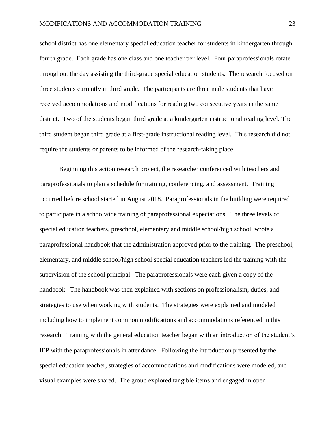school district has one elementary special education teacher for students in kindergarten through fourth grade. Each grade has one class and one teacher per level. Four paraprofessionals rotate throughout the day assisting the third-grade special education students. The research focused on three students currently in third grade. The participants are three male students that have received accommodations and modifications for reading two consecutive years in the same district. Two of the students began third grade at a kindergarten instructional reading level. The third student began third grade at a first-grade instructional reading level. This research did not require the students or parents to be informed of the research-taking place.

Beginning this action research project, the researcher conferenced with teachers and paraprofessionals to plan a schedule for training, conferencing, and assessment. Training occurred before school started in August 2018. Paraprofessionals in the building were required to participate in a schoolwide training of paraprofessional expectations. The three levels of special education teachers, preschool, elementary and middle school/high school, wrote a paraprofessional handbook that the administration approved prior to the training. The preschool, elementary, and middle school/high school special education teachers led the training with the supervision of the school principal. The paraprofessionals were each given a copy of the handbook. The handbook was then explained with sections on professionalism, duties, and strategies to use when working with students. The strategies were explained and modeled including how to implement common modifications and accommodations referenced in this research. Training with the general education teacher began with an introduction of the student's IEP with the paraprofessionals in attendance. Following the introduction presented by the special education teacher, strategies of accommodations and modifications were modeled, and visual examples were shared. The group explored tangible items and engaged in open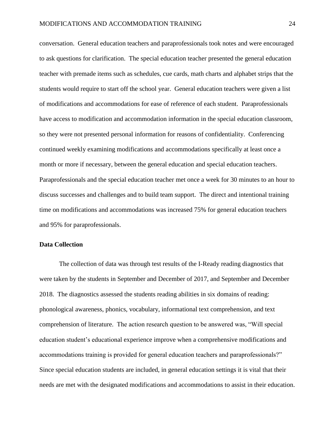conversation. General education teachers and paraprofessionals took notes and were encouraged to ask questions for clarification. The special education teacher presented the general education teacher with premade items such as schedules, cue cards, math charts and alphabet strips that the students would require to start off the school year. General education teachers were given a list of modifications and accommodations for ease of reference of each student. Paraprofessionals have access to modification and accommodation information in the special education classroom, so they were not presented personal information for reasons of confidentiality. Conferencing continued weekly examining modifications and accommodations specifically at least once a month or more if necessary, between the general education and special education teachers. Paraprofessionals and the special education teacher met once a week for 30 minutes to an hour to discuss successes and challenges and to build team support. The direct and intentional training time on modifications and accommodations was increased 75% for general education teachers and 95% for paraprofessionals.

# **Data Collection**

The collection of data was through test results of the I-Ready reading diagnostics that were taken by the students in September and December of 2017, and September and December 2018. The diagnostics assessed the students reading abilities in six domains of reading: phonological awareness, phonics, vocabulary, informational text comprehension, and text comprehension of literature. The action research question to be answered was, "Will special education student's educational experience improve when a comprehensive modifications and accommodations training is provided for general education teachers and paraprofessionals?" Since special education students are included, in general education settings it is vital that their needs are met with the designated modifications and accommodations to assist in their education.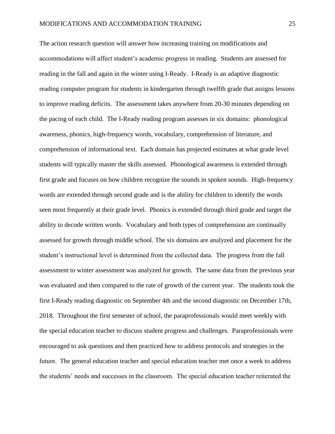The action research question will answer how increasing training on modifications and accommodations will affect student's academic progress in reading. Students are assessed for reading in the fall and again in the winter using I-Ready. I-Ready is an adaptive diagnostic reading computer program for students in kindergarten through twelfth grade that assigns lessons to improve reading deficits. The assessment takes anywhere from 20-30 minutes depending on the pacing of each child. The I-Ready reading program assesses in six domains: phonological awareness, phonics, high-frequency words, vocabulary, comprehension of literature, and comprehension of informational text. Each domain has projected estimates at what grade level students will typically master the skills assessed. Phonological awareness is extended through first grade and focuses on how children recognize the sounds in spoken sounds. High-frequency words are extended through second grade and is the ability for children to identify the words seen most frequently at their grade level. Phonics is extended through third grade and target the ability to decode written words. Vocabulary and both types of comprehension are continually assessed for growth through middle school. The six domains are analyzed and placement for the student's instructional level is determined from the collected data. The progress from the fall assessment to winter assessment was analyzed for growth. The same data from the previous year was evaluated and then compared to the rate of growth of the current year. The students took the first I-Ready reading diagnostic on September 4th and the second diagnostic on December 17th, 2018. Throughout the first semester of school, the paraprofessionals would meet weekly with the special education teacher to discuss student progress and challenges. Paraprofessionals were encouraged to ask questions and then practiced how to address protocols and strategies in the future. The general education teacher and special education teacher met once a week to address the students' needs and successes in the classroom. The special education teacher reiterated the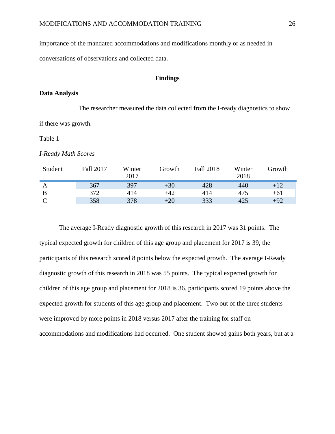importance of the mandated accommodations and modifications monthly or as needed in

conversations of observations and collected data.

## **Findings**

#### **Data Analysis**

The researcher measured the data collected from the I-ready diagnostics to show if there was growth.

Table 1

*I-Ready Math Scores*

| Student | <b>Fall 2017</b> | Winter<br>2017 | Growth | <b>Fall 2018</b> | Winter<br>2018 | Growth |
|---------|------------------|----------------|--------|------------------|----------------|--------|
|         | 367              | 397            | $+30$  | 428              | 440            | $+12$  |
| B       | 372              | 414            | $+42$  | 414              | 475            | $+61$  |
|         | 358              | 378            | $+20$  | 333              | 425            | $+92$  |

The average I-Ready diagnostic growth of this research in 2017 was 31 points. The typical expected growth for children of this age group and placement for 2017 is 39, the participants of this research scored 8 points below the expected growth. The average I-Ready diagnostic growth of this research in 2018 was 55 points. The typical expected growth for children of this age group and placement for 2018 is 36, participants scored 19 points above the expected growth for students of this age group and placement. Two out of the three students were improved by more points in 2018 versus 2017 after the training for staff on accommodations and modifications had occurred. One student showed gains both years, but at a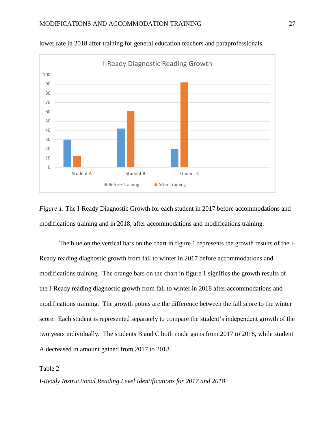

lower rate in 2018 after training for general education teachers and paraprofessionals.

*Figure 1.* The I-Ready Diagnostic Growth for each student in 2017 before accommodations and modifications training and in 2018, after accommodations and modifications training.

The blue on the vertical bars on the chart in figure 1 represents the growth results of the I-Ready reading diagnostic growth from fall to winter in 2017 before accommodations and modifications training. The orange bars on the chart in figure 1 signifies the growth results of the I-Ready reading diagnostic growth from fall to winter in 2018 after accommodations and modifications training. The growth points are the difference between the fall score to the winter score. Each student is represented separately to compare the student's independent growth of the two years individually. The students B and C both made gains from 2017 to 2018, while student A decreased in amount gained from 2017 to 2018.

Table 2

*I-Ready Instructional Reading Level Identifications for 2017 and 2018*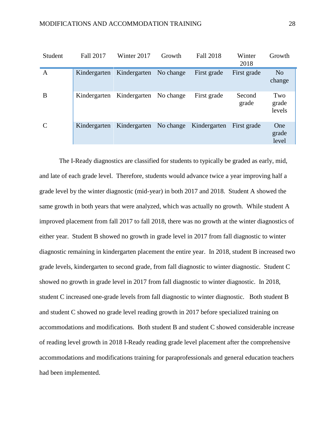| Student       | <b>Fall 2017</b> | Winter 2017  | Growth    | <b>Fall 2018</b> | Winter<br>2018  | Growth                   |
|---------------|------------------|--------------|-----------|------------------|-----------------|--------------------------|
| A             | Kindergarten     | Kindergarten | No change | First grade      | First grade     | N <sub>o</sub><br>change |
| B             | Kindergarten     | Kindergarten | No change | First grade      | Second<br>grade | Two<br>grade<br>levels   |
| $\mathcal{C}$ | Kindergarten     | Kindergarten | No change | Kindergarten     | First grade     | One<br>grade<br>level    |

The I-Ready diagnostics are classified for students to typically be graded as early, mid, and late of each grade level. Therefore, students would advance twice a year improving half a grade level by the winter diagnostic (mid-year) in both 2017 and 2018. Student A showed the same growth in both years that were analyzed, which was actually no growth. While student A improved placement from fall 2017 to fall 2018, there was no growth at the winter diagnostics of either year. Student B showed no growth in grade level in 2017 from fall diagnostic to winter diagnostic remaining in kindergarten placement the entire year. In 2018, student B increased two grade levels, kindergarten to second grade, from fall diagnostic to winter diagnostic. Student C showed no growth in grade level in 2017 from fall diagnostic to winter diagnostic. In 2018, student C increased one-grade levels from fall diagnostic to winter diagnostic. Both student B and student C showed no grade level reading growth in 2017 before specialized training on accommodations and modifications. Both student B and student C showed considerable increase of reading level growth in 2018 I-Ready reading grade level placement after the comprehensive accommodations and modifications training for paraprofessionals and general education teachers had been implemented.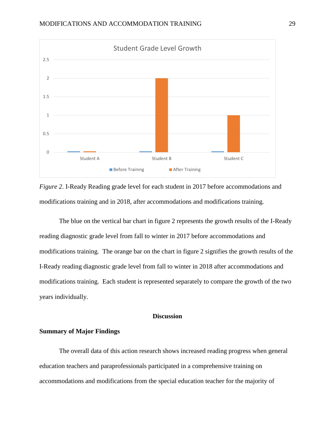

*Figure 2*. I-Ready Reading grade level for each student in 2017 before accommodations and modifications training and in 2018, after accommodations and modifications training.

The blue on the vertical bar chart in figure 2 represents the growth results of the I-Ready reading diagnostic grade level from fall to winter in 2017 before accommodations and modifications training. The orange bar on the chart in figure 2 signifies the growth results of the I-Ready reading diagnostic grade level from fall to winter in 2018 after accommodations and modifications training. Each student is represented separately to compare the growth of the two years individually.

# **Discussion**

# <span id="page-29-0"></span>**Summary of Major Findings**

The overall data of this action research shows increased reading progress when general education teachers and paraprofessionals participated in a comprehensive training on accommodations and modifications from the special education teacher for the majority of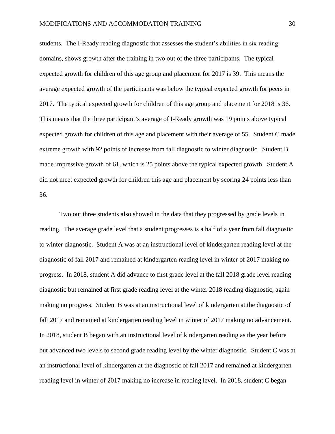students. The I-Ready reading diagnostic that assesses the student's abilities in six reading domains, shows growth after the training in two out of the three participants. The typical expected growth for children of this age group and placement for 2017 is 39. This means the average expected growth of the participants was below the typical expected growth for peers in 2017. The typical expected growth for children of this age group and placement for 2018 is 36. This means that the three participant's average of I-Ready growth was 19 points above typical expected growth for children of this age and placement with their average of 55. Student C made extreme growth with 92 points of increase from fall diagnostic to winter diagnostic. Student B made impressive growth of 61, which is 25 points above the typical expected growth. Student A did not meet expected growth for children this age and placement by scoring 24 points less than 36.

Two out three students also showed in the data that they progressed by grade levels in reading. The average grade level that a student progresses is a half of a year from fall diagnostic to winter diagnostic. Student A was at an instructional level of kindergarten reading level at the diagnostic of fall 2017 and remained at kindergarten reading level in winter of 2017 making no progress. In 2018, student A did advance to first grade level at the fall 2018 grade level reading diagnostic but remained at first grade reading level at the winter 2018 reading diagnostic, again making no progress. Student B was at an instructional level of kindergarten at the diagnostic of fall 2017 and remained at kindergarten reading level in winter of 2017 making no advancement. In 2018, student B began with an instructional level of kindergarten reading as the year before but advanced two levels to second grade reading level by the winter diagnostic. Student C was at an instructional level of kindergarten at the diagnostic of fall 2017 and remained at kindergarten reading level in winter of 2017 making no increase in reading level. In 2018, student C began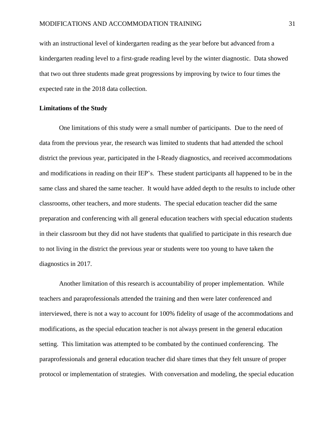with an instructional level of kindergarten reading as the year before but advanced from a kindergarten reading level to a first-grade reading level by the winter diagnostic. Data showed that two out three students made great progressions by improving by twice to four times the expected rate in the 2018 data collection.

## **Limitations of the Study**

One limitations of this study were a small number of participants. Due to the need of data from the previous year, the research was limited to students that had attended the school district the previous year, participated in the I-Ready diagnostics, and received accommodations and modifications in reading on their IEP's. These student participants all happened to be in the same class and shared the same teacher. It would have added depth to the results to include other classrooms, other teachers, and more students. The special education teacher did the same preparation and conferencing with all general education teachers with special education students in their classroom but they did not have students that qualified to participate in this research due to not living in the district the previous year or students were too young to have taken the diagnostics in 2017.

Another limitation of this research is accountability of proper implementation. While teachers and paraprofessionals attended the training and then were later conferenced and interviewed, there is not a way to account for 100% fidelity of usage of the accommodations and modifications, as the special education teacher is not always present in the general education setting. This limitation was attempted to be combated by the continued conferencing. The paraprofessionals and general education teacher did share times that they felt unsure of proper protocol or implementation of strategies. With conversation and modeling, the special education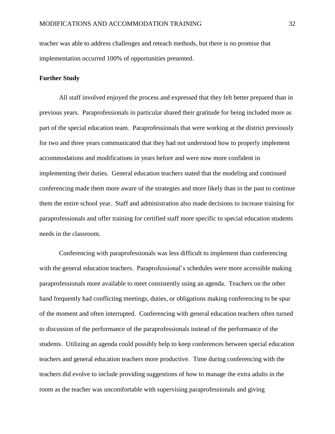teacher was able to address challenges and reteach methods, but there is no promise that implementation occurred 100% of opportunities presented.

# **Further Study**

All staff involved enjoyed the process and expressed that they felt better prepared than in previous years. Paraprofessionals in particular shared their gratitude for being included more as part of the special education team. Paraprofessionals that were working at the district previously for two and three years communicated that they had not understood how to properly implement accommodations and modifications in years before and were now more confident in implementing their duties. General education teachers stated that the modeling and continued conferencing made them more aware of the strategies and more likely than in the past to continue them the entire school year. Staff and administration also made decisions to increase training for paraprofessionals and offer training for certified staff more specific to special education students needs in the classroom.

Conferencing with paraprofessionals was less difficult to implement than conferencing with the general education teachers. Paraprofessional's schedules were more accessible making paraprofessionals more available to meet consistently using an agenda. Teachers on the other hand frequently had conflicting meetings, duties, or obligations making conferencing to be spur of the moment and often interrupted. Conferencing with general education teachers often turned to discussion of the performance of the paraprofessionals instead of the performance of the students. Utilizing an agenda could possibly help to keep conferences between special education teachers and general education teachers more productive. Time during conferencing with the teachers did evolve to include providing suggestions of how to manage the extra adults in the room as the teacher was uncomfortable with supervising paraprofessionals and giving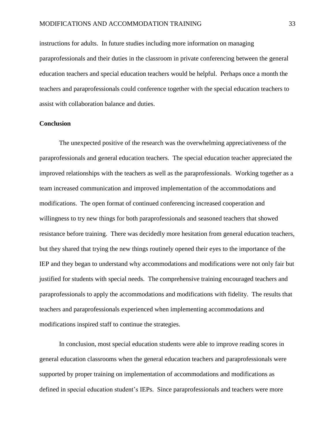instructions for adults. In future studies including more information on managing paraprofessionals and their duties in the classroom in private conferencing between the general education teachers and special education teachers would be helpful. Perhaps once a month the teachers and paraprofessionals could conference together with the special education teachers to assist with collaboration balance and duties.

# **Conclusion**

The unexpected positive of the research was the overwhelming appreciativeness of the paraprofessionals and general education teachers. The special education teacher appreciated the improved relationships with the teachers as well as the paraprofessionals. Working together as a team increased communication and improved implementation of the accommodations and modifications. The open format of continued conferencing increased cooperation and willingness to try new things for both paraprofessionals and seasoned teachers that showed resistance before training. There was decidedly more hesitation from general education teachers, but they shared that trying the new things routinely opened their eyes to the importance of the IEP and they began to understand why accommodations and modifications were not only fair but justified for students with special needs. The comprehensive training encouraged teachers and paraprofessionals to apply the accommodations and modifications with fidelity. The results that teachers and paraprofessionals experienced when implementing accommodations and modifications inspired staff to continue the strategies.

In conclusion, most special education students were able to improve reading scores in general education classrooms when the general education teachers and paraprofessionals were supported by proper training on implementation of accommodations and modifications as defined in special education student's IEPs. Since paraprofessionals and teachers were more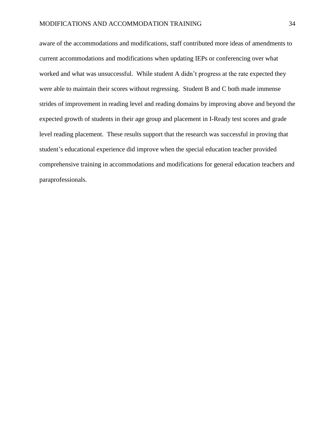aware of the accommodations and modifications, staff contributed more ideas of amendments to current accommodations and modifications when updating IEPs or conferencing over what worked and what was unsuccessful. While student A didn't progress at the rate expected they were able to maintain their scores without regressing. Student B and C both made immense strides of improvement in reading level and reading domains by improving above and beyond the expected growth of students in their age group and placement in I-Ready test scores and grade level reading placement. These results support that the research was successful in proving that student's educational experience did improve when the special education teacher provided comprehensive training in accommodations and modifications for general education teachers and paraprofessionals.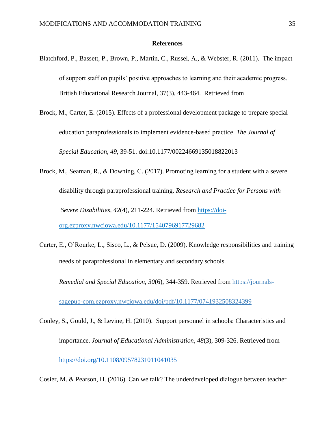#### **References**

- <span id="page-35-0"></span>Blatchford, P., Bassett, P., Brown, P., Martin, C., Russel, A., & Webster, R. (2011). The impact of support staff on pupils' positive approaches to learning and their academic progress. British Educational Research Journal, 37(3), 443-464. Retrieved from
- Brock, M., Carter, E. (2015). Effects of a professional development package to prepare special education paraprofessionals to implement evidence-based practice. *The Journal of Special Education, 49*, 39-51. doi:10.1177/00224669135018822013
- Brock, M., Seaman, R., & Downing, C. (2017). Promoting learning for a student with a severe disability through paraprofessional training. *Research and Practice for Persons with Severe Disabilities, 42*(4), 211-224. Retrieved from [https://doi](https://doi-org.ezproxy.nwciowa.edu/10.1177/1540796917729682)[org.ezproxy.nwciowa.edu/10.1177/1540796917729682](https://doi-org.ezproxy.nwciowa.edu/10.1177/1540796917729682)
- Carter, E., O'Rourke, L., Sisco, L., & Pelsue, D. (2009). Knowledge responsibilities and training needs of paraprofessional in elementary and secondary schools.

*Remedial and Special Education*, *30*(6), 344-359. Retrieved from [https://journals-](https://journals-/)

sagepub-com.ezproxy.nwciowa.edu/doi/pdf/10.1177/0741932508324399

Conley, S., Gould, J., & Levine, H. (2010). Support personnel in schools: Characteristics and importance. *Journal of Educational Administration, 48*(3), 309-326. Retrieved from <https://doi.org/10.1108/09578231011041035>

Cosier, M. & Pearson, H. (2016). Can we talk? The underdeveloped dialogue between teacher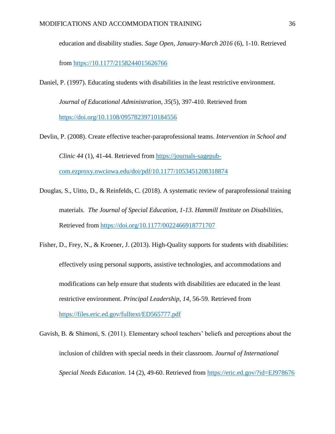education and disability studies. *Sage Open, January-March 2016* (6), 1-10. Retrieved

from [https://10.1177/2158244015626766](https://10.0.4.153/2158244015626766)

Daniel, P. (1997). Educating students with disabilities in the least restrictive environment.

*Journal of Educational Administration*, *35*(5), 397-410. Retrieved from <https://doi.org/10.1108/09578239710184556>

Devlin, P. (2008). Create effective teacher-paraprofessional teams. *Intervention in School and Clinic 44* (1), 41-44. Retrieved from [https://journals-sagepub](https://journals-sagepub-com.ezproxy.nwciowa.edu/doi/pdf/10.1177/1053451208318874)[com.ezproxy.nwciowa.edu/doi/pdf/10.1177/1053451208318874](https://journals-sagepub-com.ezproxy.nwciowa.edu/doi/pdf/10.1177/1053451208318874)

Douglas, S., Uitto, D., & Reinfelds, C. (2018). A systematic review of paraprofessional training materials. *The Journal of Special Education, 1-13. Hammill Institute on Disabilities,*  Retrieved from<https://doi.org/10.1177/0022466918771707>

Fisher, D., Frey, N., & Kroener, J. (2013). High-Quality supports for students with disabilities: effectively using personal supports, assistive technologies, and accommodations and modifications can help ensure that students with disabilities are educated in the least restrictive environment. *Principal Leadership*, *14*, 56-59. Retrieved from <https://files.eric.ed.gov/fulltext/ED565777.pdf>

Gavish, B. & Shimoni, S. (2011). Elementary school teachers' beliefs and perceptions about the inclusion of children with special needs in their classroom. *Journal of International Special Needs Education.* 14 (2), 49-60. Retrieved from<https://eric.ed.gov/?id=EJ978676>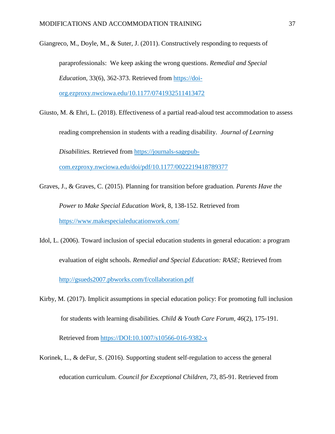Giangreco, M., Doyle, M., & Suter, J. (2011). Constructively responding to requests of

paraprofessionals: We keep asking the wrong questions. *Remedial and Special Education*, 33(6), 362-373. Retrieved from [https://doi-](https://doi-org.ezproxy.nwciowa.edu/10.1177%2F0741932511413472)

[org.ezproxy.nwciowa.edu/10.1177/0741932511413472](https://doi-org.ezproxy.nwciowa.edu/10.1177%2F0741932511413472)

Giusto, M. & Ehri, L. (2018). Effectiveness of a partial read-aloud test accommodation to assess reading comprehension in students with a reading disability. *Journal of Learning Disabilities.* Retrieved from [https://journals-sagepub](https://journals-sagepub-com.ezproxy.nwciowa.edu/doi/pdf/10.1177/0022219418789377)[com.ezproxy.nwciowa.edu/doi/pdf/10.1177/0022219418789377](https://journals-sagepub-com.ezproxy.nwciowa.edu/doi/pdf/10.1177/0022219418789377)

- Graves, J., & Graves, C. (2015). Planning for transition before graduation*. Parents Have the Power to Make Special Education Work,* 8, 138-152. Retrieved from <https://www.makespecialeducationwork.com/>
- Idol, L. (2006). Toward inclusion of special education students in general education: a program evaluation of eight schools. *Remedial and Special Education: RASE;* Retrieved from <http://gsueds2007.pbworks.com/f/collaboration.pdf>
- Kirby, M. (2017). Implicit assumptions in special education policy: For promoting full inclusion for students with learning disabilities*. Child & Youth Care Forum, 46*(2), 175-191.

Retrieved from<https://DOI:10.1007/s10566-016-9382-x>

Korinek, L., & deFur, S. (2016). Supporting student self-regulation to access the general education curriculum. *Council for Exceptional Children, 73*, 85-91. Retrieved from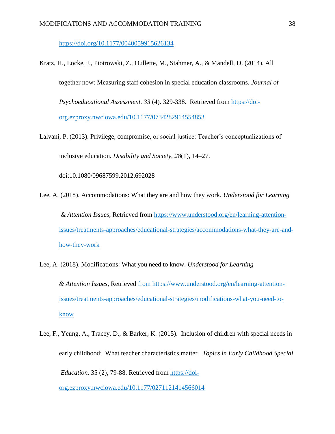<https://doi.org/10.1177/0040059915626134>

- Kratz, H., Locke, J., Piotrowski, Z., Oullette, M., Stahmer, A., & Mandell, D. (2014). All together now: Measuring staff cohesion in special education classrooms. *Journal of Psychoeducational Assessment. 33* (4). 329-338. Retrieved from [https://doi](https://doi-org.ezproxy.nwciowa.edu/10.1177%2F0734282914554853)[org.ezproxy.nwciowa.edu/10.1177/0734282914554853](https://doi-org.ezproxy.nwciowa.edu/10.1177%2F0734282914554853)
- Lalvani, P. (2013). Privilege, compromise, or social justice: Teacher's conceptualizations of inclusive education. *Disability and Society*, *28*(1), 14–27.

doi:10.1080/09687599.2012.692028

- Lee, A. (2018). Accommodations: What they are and how they work. *Understood for Learning & Attention Issues,* Retrieved from [https://www.understood.org/en/learning-attention](https://www.understood.org/en/learning-attention-issues/treatments-approaches/educational-strategies/accommodations-what-they-are-and-how-they-work)[issues/treatments-approaches/educational-strategies/accommodations-what-they-are-and](https://www.understood.org/en/learning-attention-issues/treatments-approaches/educational-strategies/accommodations-what-they-are-and-how-they-work)[how-they-work](https://www.understood.org/en/learning-attention-issues/treatments-approaches/educational-strategies/accommodations-what-they-are-and-how-they-work)
- Lee, A. (2018). Modifications: What you need to know. *Understood for Learning & Attention Issues,* Retrieved from [https://www.understood.org/en/learning-attention](https://www.understood.org/en/learning-attention-issues/treatments-approaches/educational-strategies/modifications-what-you-need-to-know)[issues/treatments-approaches/educational-strategies/modifications-what-you-need-to](https://www.understood.org/en/learning-attention-issues/treatments-approaches/educational-strategies/modifications-what-you-need-to-know)[know](https://www.understood.org/en/learning-attention-issues/treatments-approaches/educational-strategies/modifications-what-you-need-to-know)
- Lee, F., Yeung, A., Tracey, D., & Barker, K. (2015). Inclusion of children with special needs in early childhood: What teacher characteristics matter*. Topics in Early Childhood Special Education.* 35 (2), 79-88. Retrieved from [https://doi-](https://doi-org.ezproxy.nwciowa.edu/10.1177%2F0271121414566014)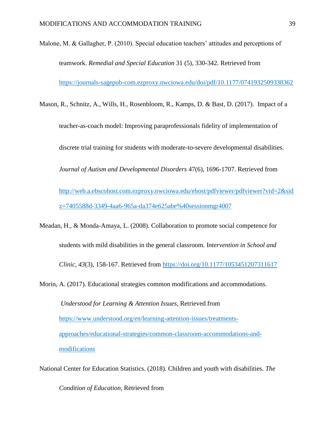Malone, M. & Gallagher, P. (2010). Special education teachers' attitudes and perceptions of teamwork. *Remedial and Special Education* 31 (5), 330-342. Retrieved from <https://journals-sagepub-com.ezproxy.nwciowa.edu/doi/pdf/10.1177/0741932509338362>

Mason, R., Schnitz, A., Wills, H., Rosenbloom, R., Kamps, D. & Bast, D. (2017). Impact of a

teacher-as-coach model: Improving paraprofessionals fidelity of implementation of

discrete trial training for students with moderate-to-severe developmental disabilities.

*Journal of Autism and Developmental Disorders* 47(6), 1696-1707. Retrieved from

[http://web.a.ebscohost.com.ezproxy.nwciowa.edu/ehost/pdfviewer/pdfviewer?vid=2&sid](http://web.a.ebscohost.com.ezproxy.nwciowa.edu/ehost/pdfviewer/pdfviewer?vid=2&sidz=7405588d-3349-4aa6-965a-da374e625abe%40sessionmgr4007) [z=7405588d-3349-4aa6-965a-da374e625abe%40sessionmgr4007](http://web.a.ebscohost.com.ezproxy.nwciowa.edu/ehost/pdfviewer/pdfviewer?vid=2&sidz=7405588d-3349-4aa6-965a-da374e625abe%40sessionmgr4007)

Meadan, H., & Monda-Amaya, L. (2008). Collaboration to promote social competence for students with mild disabilities in the general classroom. I*ntervention in School and Clinic*, *43*(3), 158-167. Retrieved from [https://doi.org/10.1177/1053451207311617](https://doi.org/10.1177%2F1053451207311617)

Morin, A. (2017). Educational strategies common modifications and accommodations. *Understood for Learning & Attention Issues,* Retrieved from [https://www.understood.org/en/learning-attention-issues/treatments](https://www.understood.org/en/learning-attention-issues/treatments-approaches/educational-strategies/common-classroom-accommodations-and-modifications)[approaches/educational-strategies/common-classroom-accommodations-and](https://www.understood.org/en/learning-attention-issues/treatments-approaches/educational-strategies/common-classroom-accommodations-and-modifications)[modifications](https://www.understood.org/en/learning-attention-issues/treatments-approaches/educational-strategies/common-classroom-accommodations-and-modifications)

National Center for Education Statistics. (2018). Children and youth with disabilities. *The* 

*Condition of Education,* Retrieved from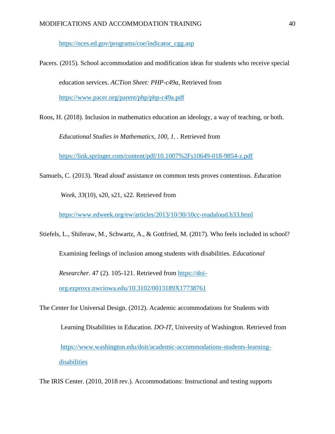[https://nces.ed.gov/programs/coe/indicator\\_cgg.asp](https://nces.ed.gov/programs/coe/indicator_cgg.asp)

Pacers. (2015). School accommodation and modification ideas for students who receive special education services. *ACTion Sheet: PHP-c49a*, Retrieved from <https://www.pacer.org/parent/php/php-c49a.pdf>

Roos, H. (2018). Inclusion in mathematics education an ideology, a way of teaching, or both.

*Educational Studies in Mathematics, 100, 1. .* Retrieved from

<https://link.springer.com/content/pdf/10.1007%2Fs10649-018-9854-z.pdf>

Samuels, C. (2013). 'Read aloud' assistance on common tests proves contentious. *Education*

*Week, 33*(10), s20, s21, s22. Retrieved from

<https://www.edweek.org/ew/articles/2013/10/30/10cc-readaloud.h33.html>

Stiefels, L., Shiferaw, M., Schwartz, A., & Gottfried, M. (2017). Who feels included in school?

Examining feelings of inclusion among students with disabilities. *Educational* 

*Researcher.* 47 (2). 105-121. Retrieved from [https://doi-](https://doi-org.ezproxy.nwciowa.edu/10.3102%2F0013189X17738761)

[org.ezproxy.nwciowa.edu/10.3102/0013189X17738761](https://doi-org.ezproxy.nwciowa.edu/10.3102%2F0013189X17738761)

The Center for Universal Design. (2012). Academic accommodations for Students with

Learning Disabilities in Education. *DO-IT*, University of Washington. Retrieved from [https://www.washington.edu/doit/academic-accommodations-students-learning](https://www.washington.edu/doit/academic-accommodations-students-learning-disabilities)[disabilities](https://www.washington.edu/doit/academic-accommodations-students-learning-disabilities)

The IRIS Center. (2010, 2018 rev.). Accommodations: Instructional and testing supports